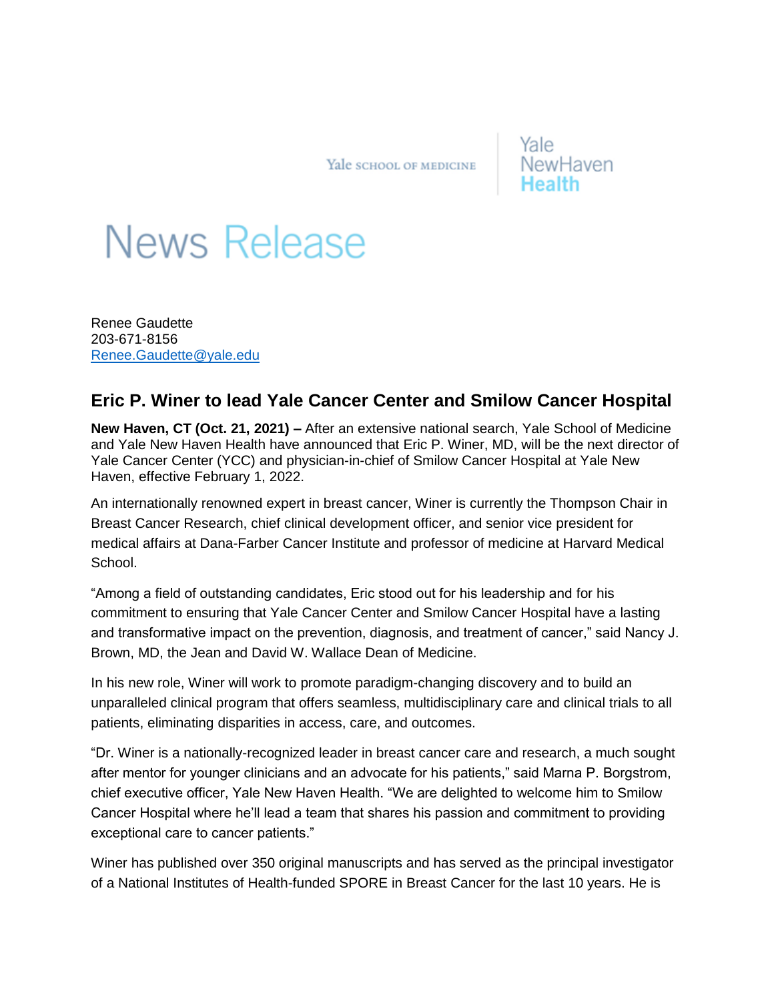Yale SCHOOL OF MEDICINE

## Yale NewHaven

## **News Release**

Renee Gaudette 203-671-8156 [Renee.Gaudette@yale.edu](mailto:Renee.Gaudette@yale.edu)

## **Eric P. Winer to lead Yale Cancer Center and Smilow Cancer Hospital**

**New Haven, CT (Oct. 21, 2021) –** After an extensive national search, Yale School of Medicine and Yale New Haven Health have announced that Eric P. Winer, MD, will be the next director of Yale Cancer Center (YCC) and physician-in-chief of Smilow Cancer Hospital at Yale New Haven, effective February 1, 2022.

An internationally renowned expert in breast cancer, Winer is currently the Thompson Chair in Breast Cancer Research, chief clinical development officer, and senior vice president for medical affairs at Dana-Farber Cancer Institute and professor of medicine at Harvard Medical School.

"Among a field of outstanding candidates, Eric stood out for his leadership and for his commitment to ensuring that Yale Cancer Center and Smilow Cancer Hospital have a lasting and transformative impact on the prevention, diagnosis, and treatment of cancer," said Nancy J. Brown, MD, the Jean and David W. Wallace Dean of Medicine.

In his new role, Winer will work to promote paradigm-changing discovery and to build an unparalleled clinical program that offers seamless, multidisciplinary care and clinical trials to all patients, eliminating disparities in access, care, and outcomes.

"Dr. Winer is a nationally-recognized leader in breast cancer care and research, a much sought after mentor for younger clinicians and an advocate for his patients," said Marna P. Borgstrom, chief executive officer, Yale New Haven Health. "We are delighted to welcome him to Smilow Cancer Hospital where he'll lead a team that shares his passion and commitment to providing exceptional care to cancer patients."

Winer has published over 350 original manuscripts and has served as the principal investigator of a National Institutes of Health-funded SPORE in Breast Cancer for the last 10 years. He is